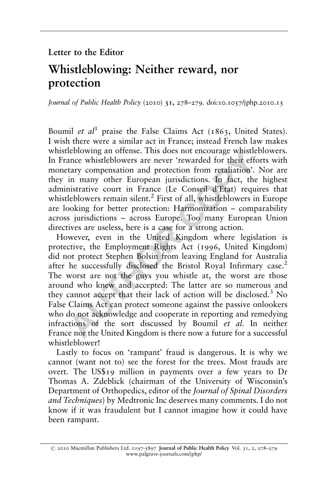## Letter to the Editor

## Whistleblowing: Neither reward, nor protection

Journal of Public Health Policy (2010) 31, 278-279. doi:10.1057/jphp.2010.15

Boumil et  $al^1$  praise the False Claims Act (1863, United States). I wish there were a similar act in France; instead French law makes whistleblowing an offense. This does not encourage whistleblowers. In France whistleblowers are never 'rewarded for their efforts with monetary compensation and protection from retaliation'. Nor are they in many other European jurisdictions. In fact, the highest administrative court in France (Le Conseil d'Etat) requires that whistleblowers remain silent.<sup>2</sup> First of all, whistleblowers in Europe are looking for better protection: Harmonization – comparability across jurisdictions – across Europe. Too many European Union directives are useless, here is a case for a strong action.

Heblowing an oftense. This does not encourage whistleble<br>ance whistleblowers are never 'rewarded for their effort<br>tary compensation and protection from retaliation'. N<br>in many other European jurisdictions. In fact, the *h* However, even in the United Kingdom where legislation is protective, the Employment Rights Act (1996, United Kingdom) did not protect Stephen Bolsin from leaving England for Australia after he successfully disclosed the Bristol Royal Infirmary case.<sup>2</sup> The worst are not the guys you whistle at, the worst are those around who knew and accepted: The latter are so numerous and they cannot accept that their lack of action will be disclosed. $3$  No False Claims Act can protect someone against the passive onlookers who do not acknowledge and cooperate in reporting and remedying infractions of the sort discussed by Boumil et al. In neither France nor the United Kingdom is there now a future for a successful whistleblower!

Lastly to focus on 'rampant' fraud is dangerous. It is why we cannot (want not to) see the forest for the trees. Most frauds are overt. The US\$19 million in payments over a few years to Dr Thomas A. Zdeblick (chairman of the University of Wisconsin's Department of Orthopedics, editor of the Journal of Spinal Disorders and Techniques) by Medtronic Inc deserves many comments. I do not know if it was fraudulent but I cannot imagine how it could have been rampant.

r 2010 Macmillan Publishers Ltd. 0197-5897 Journal of Public Health Policy Vol. 31, 2, 278–279 www.palgrave-journals.com/jphp/